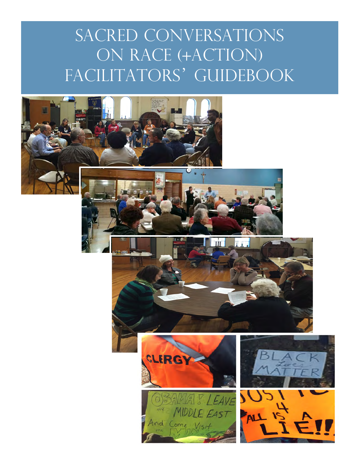# SACRED CONVERSATIONS ON RACE (+ACTION) FACILITATORS' GUIDEBOOK

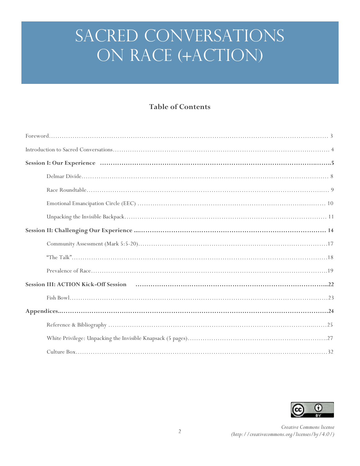# SACRED CONVERSATIONS ON RACE (+ACTION)

## **Table of Contents**

| For <i>word</i> 3 |
|-------------------|
|                   |
|                   |
|                   |
|                   |
|                   |
|                   |
|                   |
|                   |
|                   |
|                   |
|                   |
|                   |
|                   |
|                   |
|                   |
|                   |

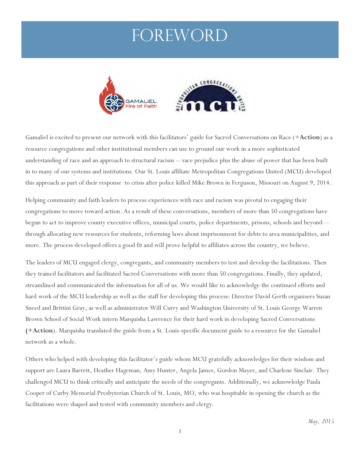# **FOREWORD**



Gamaliel is excited to present our network with this facilitators' guide for Sacred Conversations on Race (+**Action**) as a resource congregations and other institutional members can use to ground our work in a more sophisticated understanding of race and an approach to structural racism -- race prejudice plus the abuse of power that has been built in to many of our systems and institutions. Our St. Louis affiliate Metropolitan Congregations United (MCU) developed this approach as part of their response to crisis after police killed Mike Brown in Ferguson, Missouri on August 9, 2014.

Helping community and faith leaders to process experiences with race and racism was pivotal to engaging their congregations to move toward action. As a result of these conversations, members of more than 50 congregations have begun to act to improve county executive offices, municipal courts, police departments, prisons, schools and beyond through allocating new resources for students, reforming laws about imprisonment for debts to area municipalities, and more. The process developed offers a good fit and will prove helpful to affiliates across the country, we believe.

The leaders of MCU engaged clergy, congregants, and community members to test and develop the facilitations. Then they trained facilitators and facilitated Sacred Conversations with more than 50 congregations. Finally, they updated, streamlined and communicated the information for all of us. We would like to acknowledge the continued efforts and hard work of the MCU leadership as well as the staff for developing this process: Director David Gerth organizers Susan Sneed and Brittini Gray, as well as administrator Will Curry and Washington University of St. Louis George Warren Brown School of Social Work intern Marquisha Lawrence for their hard work in developing Sacred Conversations **(+Action**). Marquisha translated the guide from a St. Louis-specific document guide to a resource for the Gamaliel network as a whole.

Others who helped with developing this facilitator's guide whom MCU gratefully acknowledges for their wisdom and support are Laura Barrett, Heather Hageman, Amy Hunter, Angela James, Gordon Mayer, and Charlene Sinclair. They challenged MCU to think critically and anticipate the needs of the congregants. Additionally, we acknowledge Paula Cooper of Curby Memorial Presbyterian Church of St. Louis, MO, who was hospitable in opening the church as the facilitations were shaped and tested with community members and clergy.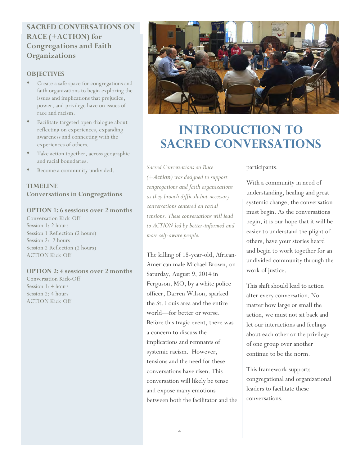## **SACRED CONVERSATIONS ON RACE (+ACTION) for Congregations and Faith Organizations**

## **OBJECTIVES**

- Create a safe space for congregations and faith organizations to begin exploring the issues and implications that prejudice, power, and privilege have on issues of race and racism.
- Facilitate targeted open dialogue about reflecting on experiences, expanding awareness and connecting with the experiences of others.
- Take action together, across geographic and racial boundaries.
- Become a community undivided.

## **TIMELINE Conversations in Congregations**

## **OPTION 1: 6 sessions over 2 months**

Conversation Kick-Off Session 1: 2 hours Session 1 Reflection (2 hours) Session 2: 2 hours Session 2 Reflection (2 hours) ACTION Kick-Off

## **OPTION 2: 4 sessions over 2 months**

Conversation Kick-Off Session 1: 4 hours Session 2: 4 hours ACTION Kick-Off



## **Introduction to Sacred conversations**

*Sacred Conversations on Race (+Action) was designed to support congregations and faith organizations as they broach difficult but necessary conversations centered on racial tensions. These conversations will lead to ACTION led by better-informed and more self-aware people.*

The killing of 18-year-old, African-American male Michael Brown, on Saturday, August 9, 2014 in Ferguson, MO, by a white police officer, Darren Wilson, sparked the St. Louis area and the entire world—for better or worse. Before this tragic event, there was a concern to discuss the implications and remnants of systemic racism. However, tensions and the need for these conversations have risen. This conversation will likely be tense and expose many emotions between both the facilitator and the participants.

With a community in need of understanding, healing and great systemic change, the conversation must begin. As the conversations begin, it is our hope that it will be easier to understand the plight of others, have your stories heard and begin to work together for an undivided community through the work of justice.

This shift should lead to action after every conversation. No matter how large or small the action, we must not sit back and let our interactions and feelings about each other or the privilege of one group over another continue to be the norm.

This framework supports congregational and organizational leaders to facilitate these conversations.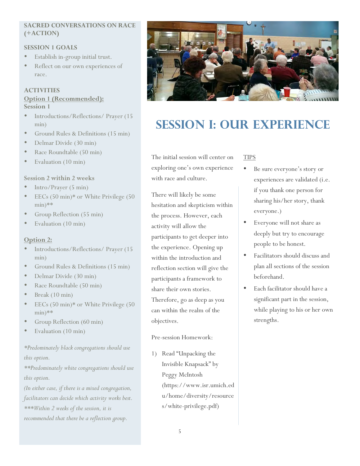## **SACRED CONVERSATIONS ON RACE (+ACTION)**

## **SESSION 1 GOALS**

- Establish in-group initial trust.
- Reflect on our own experiences of race.

## **ACTIVITIES Option 1 (Recommended): Session 1**

- Introductions/Reflections/ Prayer (15 min)
- Ground Rules & Definitions (15 min)
- Delmar Divide (30 min)
- Race Roundtable (50 min)
- Evaluation (10 min)

## **Session 2 within 2 weeks**

- Intro/Prayer (5 min)
- EECs (50 min)\* or White Privilege (50 min)\*\*
- Group Reflection (55 min)
- Evaluation (10 min)

## **Option 2:**

- Introductions/Reflections/ Prayer (15 min)
- Ground Rules & Definitions (15 min)
- Delmar Divide (30 min)
- Race Roundtable (50 min)
- Break (10 min)
- EECs (50 min)\* or White Privilege (50 min)\*\*
- Group Reflection (60 min)
- Evaluation (10 min)

*\*Predominately black congregations should use this option.* 

*\*\*Predominately white congregations should use this option.* 

*(In either case, if there is a mixed congregation, facilitators can decide which activity works best. \*\*\*Within 2 weeks of the session, it is recommended that there be a reflection group.*



## **Session I: Our experience**

The initial session will center on exploring one's own experience with race and culture.

There will likely be some hesitation and skepticism within the process. However, each activity will allow the participants to get deeper into the experience. Opening up within the introduction and reflection section will give the participants a framework to share their own stories. Therefore, go as deep as you can within the realm of the objectives.

Pre-session Homework:

1) Read "Unpacking the Invisible Knapsack" by Peggy McIntosh (https://www.isr.umich.ed u/home/diversity/resource s/white-privilege.pdf)

## TIPS

- Be sure everyone's story or experiences are validated (i.e. if you thank one person for sharing his/her story, thank everyone.)
- Everyone will not share as deeply but try to encourage people to be honest.
- Facilitators should discuss and plan all sections of the session beforehand.
- Each facilitator should have a significant part in the session, while playing to his or her own strengths.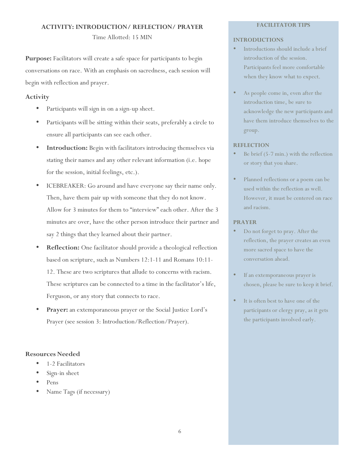#### **ACTIVITY: INTRODUCTION/ REFLECTION/ PRAYER**

Time Allotted: 15 MIN

**Purpose:** Facilitators will create a safe space for participants to begin conversations on race. With an emphasis on sacredness, each session will begin with reflection and prayer.

#### **Activity**

- Participants will sign in on a sign-up sheet.
- Participants will be sitting within their seats, preferably a circle to ensure all participants can see each other.
- **Introduction:** Begin with facilitators introducing themselves via stating their names and any other relevant information (i.e. hope for the session, initial feelings, etc.).
- ICEBREAKER: Go around and have everyone say their name only. Then, have them pair up with someone that they do not know. Allow for 3 minutes for them to "interview" each other. After the 3 minutes are over, have the other person introduce their partner and say 2 things that they learned about their partner.
- **Reflection:** One facilitator should provide a theological reflection based on scripture, such as Numbers 12:1-11 and Romans 10:11- 12. These are two scriptures that allude to concerns with racism. These scriptures can be connected to a time in the facilitator's life, Ferguson, or any story that connects to race.
- **Prayer:** an extemporaneous prayer or the Social Justice Lord's Prayer (see session 3: Introduction/Reflection/Prayer).

#### **Resources Needed**

- 1-2 Facilitators
- Sign-in sheet
- Pens
- Name Tags (if necessary)

#### **FACILITATOR TIPS**

#### **INTRODUCTIONS**

- Introductions should include a brief introduction of the session. Participants feel more comfortable when they know what to expect.
- As people come in, even after the introduction time, be sure to acknowledge the new participants and have them introduce themselves to the group.

#### **REFLECTION**

- Be brief (5-7 min.) with the reflection or story that you share.
- Planned reflections or a poem can be used within the reflection as well. However, it must be centered on race and racism.

#### **PRAYER**

- Do not forget to pray. After the reflection, the prayer creates an even more sacred space to have the conversation ahead.
- If an extemporaneous prayer is chosen, please be sure to keep it brief.
- It is often best to have one of the participants or clergy pray, as it gets the participants involved early.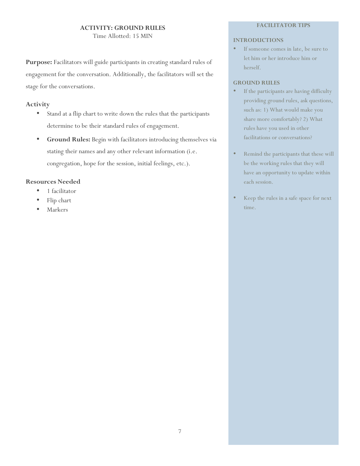## **ACTIVITY: GROUND RULES**

Time Allotted: 15 MIN

Purpose: Facilitators will guide participants in creating standard rules of engagement for the conversation. Additionally, the facilitators will set the stage for the conversations.

## **Activity**

- Stand at a flip chart to write down the rules that the participants determine to be their standard rules of engagement.
- **Ground Rules:** Begin with facilitators introducing themselves via stating their names and any other relevant information (i.e. congregation, hope for the session, initial feelings, etc.).

## **Resources Needed**

- 1 facilitator
- Flip chart
- **Markers**

#### **FACILITATOR TIPS**

#### **INTRODUCTIONS**

• If someone comes in late, be sure to let him or her introduce him or herself.

### **GROUND RULES**

- If the participants are having difficulty providing ground rules, ask questions, such as: 1) What would make you share more comfortably? 2) What rules have you used in other facilitations or conversations?
- Remind the participants that these will be the working rules that they will have an opportunity to update within each session.
- Keep the rules in a safe space for next time.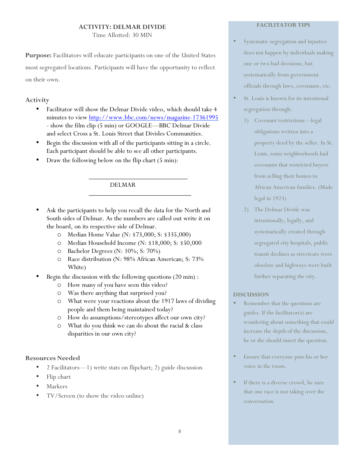#### **ACTIVITY: DELMAR DIVIDE**

Time Allotted: 30 MIN

Purpose: Facilitators will educate participants on one of the United States most segregated locations. Participants will have the opportunity to reflect on their own.

## **Activity**

- Facilitator will show the Delmar Divide video, which should take 4 minutes to view http://www.bbc.com/news/magazine-17361995 - show the film clip (5 min) or GOOGLE—BBC Delmar Divide and select Cross a St. Louis Street that Divides Communities.
- Begin the discussion with all of the participants sitting in a circle. Each participant should be able to see all other participants.
- Draw the following below on the flip chart (5 min):

## DELMAR

\_\_\_\_\_\_\_\_\_\_\_\_\_\_\_\_\_\_\_\_\_\_\_\_\_\_\_\_

 $\overline{\phantom{a}}$  , where  $\overline{\phantom{a}}$ 

- Ask the participants to help you recall the data for the North and South sides of Delmar. As the numbers are called out write it on the board, on its respective side of Delmar.
	- o Median Home Value (N: \$73,000; S: \$335,000)
	- o Median Household Income (N: \$18,000; S: \$50,000
	- o Bachelor Degrees (N: 10%; S: 70%)
	- o Race distribution (N: 98% African American; S: 73% White)
- Begin the discussion with the following questions (20 min) :
	- o How many of you have seen this video?
	- o Was there anything that surprised you?
	- o What were your reactions about the 1917 laws of dividing people and them being maintained today?
	- o How do assumptions/stereotypes affect our own city?
	- What do you think we can do about the racial & class disparities in our own city?

## **Resources Needed**

- 2 Facilitators—1) write stats on flipchart; 2) guide discussion
- Flip chart
- **Markers**
- TV/Screen (to show the video online)

#### **FACILITATOR TIPS**

- Systematic segregation and injustice does not happen by individuals making one or two bad decisions, but systematically from government officials through laws, covenants, etc.
- St. Louis is known for its intentional segregation through:
	- 1) Covenant restrictions—legal obligations written into a property deed by the seller. In St. Louis, some neighborhoods had covenants that restricted buyers from selling their homes to African American families. (Made legal in 1923)
	- 2) The Delmar Divide was intentionally, legally, and systematically created through segregated city hospitals, public transit declines as streetcars were obsolete and highways were built further separating the city.

#### **DISCUSSION**

- Remember that the questions are guides. If the facilitator(s) are wondering about something that could increase the depth of the discussion, he or she should insert the question.
- Ensure that everyone puts his or her voice in the room.
- If there is a diverse crowd, be sure that one race is not taking over the conversation.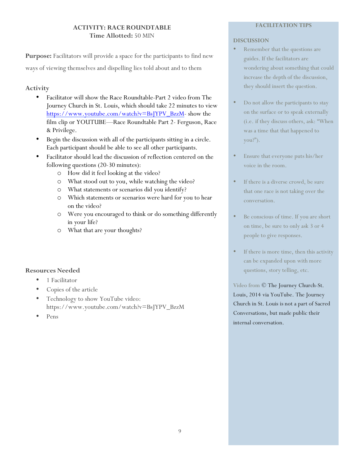## **ACTIVITY: RACE ROUNDTABLE Time Allotted:** 50 MIN

**Purpose:** Facilitators will provide a space for the participants to find new

ways of viewing themselves and dispelling lies told about and to them

## **Activity**

- Facilitator will show the Race Roundtable-Part 2 video from The Journey Church in St. Louis, which should take 22 minutes to view https://www.youtube.com/watch?v=BsJYPV\_BzzM- show the film clip or YOUTUBE—Race Roundtable Part 2- Ferguson, Race & Privilege.
- Begin the discussion with all of the participants sitting in a circle. Each participant should be able to see all other participants.
- Facilitator should lead the discussion of reflection centered on the following questions (20-30 minutes):
	- o How did it feel looking at the video?
	- o What stood out to you, while watching the video?
	- o What statements or scenarios did you identify?
	- o Which statements or scenarios were hard for you to hear on the video?
	- o Were you encouraged to think or do something differently in your life?
	- o What that are your thoughts?

## **Resources Needed**

- 1 Facilitator
- Copies of the article
- Technology to show YouTube video: https://www.youtube.com/watch?v=BsJYPV\_BzzM
- Pens

### **DISCUSSION**

- Remember that the questions are guides. If the facilitators are wondering about something that could increase the depth of the discussion, they should insert the question.
- Do not allow the participants to stay on the surface or to speak externally (i.e. if they discuss others, ask: "When was a time that that happened to you?").
- Ensure that everyone puts his/her voice in the room.
- If there is a diverse crowd, be sure that one race is not taking over the conversation.
- Be conscious of time. If you are short on time, be sure to only ask 3 or 4 people to give responses.
- If there is more time, then this activity can be expanded upon with more questions, story telling, etc.

Video from © The Journey Church-St. Louis, 2014 via YouTube. The Journey Church in St. Louis is not a part of Sacred Conversations, but made public their internal conversation.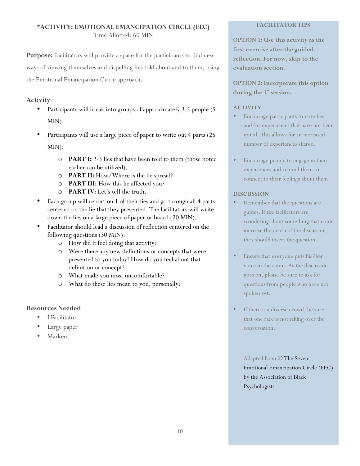## **\*ACTIVITY: EMOTIONAL EMANCIPATION CIRCLE (EEC)** Time Allotted: 60 MIN

**Purpose:** Facilitators will provide a space for the participants to find new ways of viewing themselves and dispelling lies told about and to them, using the Emotional Emancipation Circle approach.

## **Activity**

- Participants will break into groups of approximately 3-5 people (5 MIN).
- Participants will use a large piece of paper to write out 4 parts (25 MIN):
	- o **PART I:** 2-3 lies that have been told to them (those noted earlier can be utilized).
	- o **PART II:** How/Where is the lie spread?
	- o **PART III:** How this lie affected you?
	- o **PART IV:** Let's tell the truth.
- Each group will report on 1 of their lies and go through all 4 parts centered on the lie that they presented. The facilitators will write down the lies on a large piece of paper or board (20 MIN).
- Facilitator should lead a discussion of reflection centered on the following questions (30 MIN):
	- o How did it feel doing that activity?
	- o Were there any new definitions or concepts that were presented to you today? How do you feel about that definition or concept?
	- o What made you most uncomfortable?
	- o What do these lies mean to you, personally?

## **Resources Needed**

- I Facilitator
- Large paper
- **Markers**

#### **FACILITATOR TIPS**

**OPTION 1: Use this activity as the first exercise after the guided reflection. For now, skip to the evaluation section.**

**OPTION 2: Incorporate this option during the 1st session.**

#### **ACTIVITY**

- Encourage participants to note lies and/or experiences that have not been noted. This allows for an increased number of experiences shared.
- Encourage people to engage in their experiences and remind them to connect to their feelings about them.

#### **DISCUSSION**

- Remember that the questions are guides. If the facilitators are wondering about something that could increase the depth of the discussion, they should insert the question.
- Ensure that everyone puts his/her voice in the room. As the discussion goes on, please be sure to ask for questions from people who have not spoken yet.
- If there is a diverse crowd, be sure that one race is not taking over the conversation.

Adapted from © The Seven Emotional Emancipation Circle (EEC) by the Association of Black Psychologists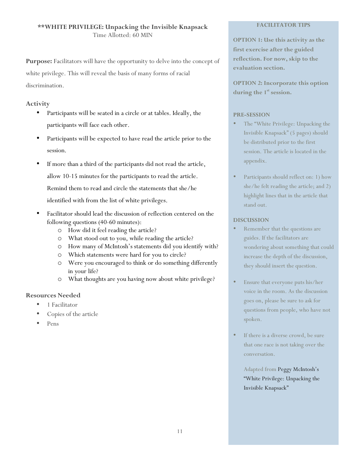## **\*\*WHITE PRIVILEGE: Unpacking the Invisible Knapsack** Time Allotted: 60 MIN

Purpose: Facilitators will have the opportunity to delve into the concept of white privilege. This will reveal the basis of many forms of racial discrimination.

## **Activity**

- Participants will be seated in a circle or at tables. Ideally, the participants will face each other.
- Participants will be expected to have read the article prior to the session.
- If more than a third of the participants did not read the article, allow 10-15 minutes for the participants to read the article. Remind them to read and circle the statements that she/he identified with from the list of white privileges.
- Facilitator should lead the discussion of reflection centered on the following questions (40-60 minutes):
	- o How did it feel reading the article?
	- o What stood out to you, while reading the article?
	- o How many of McIntosh's statements did you identify with?
	- o Which statements were hard for you to circle?
	- o Were you encouraged to think or do something differently in your life?
	- o What thoughts are you having now about white privilege?

## **Resources Needed**

- 1 Facilitator
- Copies of the article
- Pens

#### **FACILITATOR TIPS**

**OPTION 1: Use this activity as the first exercise after the guided reflection. For now, skip to the evaluation section.**

**OPTION 2: Incorporate this option during the 1st session.**

### **PRE-SESSION**

- The "White Privilege: Unpacking the Invisible Knapsack" (5 pages) should be distributed prior to the first session. The article is located in the appendix.
- Participants should reflect on: 1) how she/he felt reading the article; and 2) highlight lines that in the article that stand out.

#### **DISCUSSION**

- Remember that the questions are guides. If the facilitators are wondering about something that could increase the depth of the discussion, they should insert the question.
- Ensure that everyone puts his/her voice in the room. As the discussion goes on, please be sure to ask for questions from people, who have not spoken.
- If there is a diverse crowd, be sure that one race is not taking over the conversation.

Adapted from Peggy McIntosh's "White Privilege: Unpacking the Invisible Knapsack"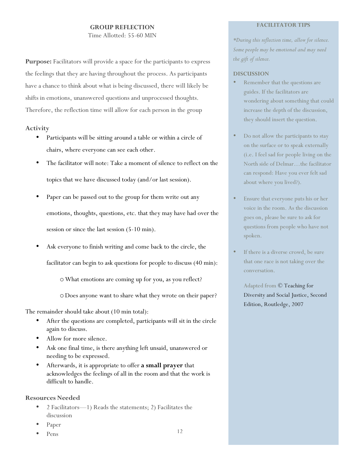## **GROUP REFLECTION**

Time Allotted: 55-60 MIN

Purpose: Facilitators will provide a space for the participants to express the feelings that they are having throughout the process. As participants have a chance to think about what is being discussed, there will likely be shifts in emotions, unanswered questions and unprocessed thoughts. Therefore, the reflection time will allow for each person in the group

#### **Activity**

- Participants will be sitting around a table or within a circle of chairs, where everyone can see each other.
- The facilitator will note: Take a moment of silence to reflect on the topics that we have discussed today (and/or last session).
- Paper can be passed out to the group for them write out any emotions, thoughts, questions, etc. that they may have had over the session or since the last session (5-10 min).
- Ask everyone to finish writing and come back to the circle, the

facilitator can begin to ask questions for people to discuss (40 min):

oWhat emotions are coming up for you, as you reflect?

oDoes anyone want to share what they wrote on their paper?

The remainder should take about (10 min total):

- After the questions are completed, participants will sit in the circle again to discuss.
- Allow for more silence.
- Ask one final time, is there anything left unsaid, unanswered or needing to be expressed.
- Afterwards, it is appropriate to offer **a small prayer** that acknowledges the feelings of all in the room and that the work is difficult to handle.

#### **Resources Needed**

- 2 Facilitators—1) Reads the statements; 2) Facilitates the discussion
- Paper
- Pens

#### **FACILITATOR TIPS**

*\*During this reflection time, allow for silence. Some people may be emotional and may need the gift of silence.*

#### **DISCUSSION**

- Remember that the questions are guides. If the facilitators are wondering about something that could increase the depth of the discussion, they should insert the question.
- Do not allow the participants to stay on the surface or to speak externally (i.e. I feel sad for people living on the North side of Delmar…the facilitator can respond: Have you ever felt sad about where you lived?).
- Ensure that everyone puts his or her voice in the room. As the discussion goes on, please be sure to ask for questions from people who have not spoken.
- If there is a diverse crowd, be sure that one race is not taking over the conversation.

Adapted from © Teaching for Diversity and Social Justice, Second Edition, Routledge, 2007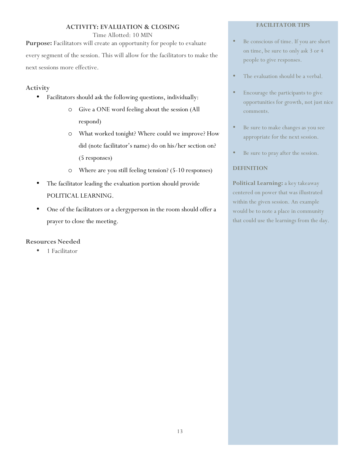## **ACTIVITY: EVALUATION & CLOSING**

Time Allotted: 10 MIN

Purpose: Facilitators will create an opportunity for people to evaluate every segment of the session. This will allow for the facilitators to make the next sessions more effective.

## **Activity**

- Facilitators should ask the following questions, individually:
	- o Give a ONE word feeling about the session (All respond)
	- o What worked tonight? Where could we improve? How did (note facilitator's name) do on his/her section on? (5 responses)
	- o Where are you still feeling tension? (5-10 responses)
- The facilitator leading the evaluation portion should provide POLITICAL LEARNING.
- One of the facilitators or a clergyperson in the room should offer a prayer to close the meeting.

## **Resources Needed**

• 1 Facilitator

## **FACILITATOR TIPS**

- Be conscious of time. If you are short on time, be sure to only ask 3 or 4 people to give responses.
- The evaluation should be a verbal.
- Encourage the participants to give opportunities for growth, not just nice comments.
- Be sure to make changes as you see appropriate for the next session.
- Be sure to pray after the session.

## **DEFINITION**

**Political Learning:** a key takeaway centered on power that was illustrated within the given session. An example would be to note a place in community that could use the learnings from the day.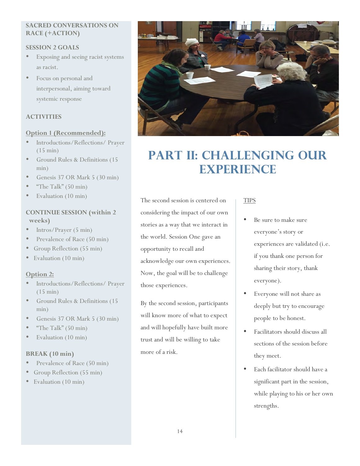## **SACRED CONVERSATIONS ON RACE (+ACTION)**

## **SESSION 2 GOALS**

- Exposing and seeing racist systems as racist.
- Focus on personal and interpersonal, aiming toward systemic response

## **ACTIVITIES**

## **Option 1 (Recommended):**

- Introductions/Reflections/ Prayer (15 min)
- Ground Rules & Definitions (15 min)
- Genesis 37 OR Mark 5 (30 min)
- "The Talk" (50 min)
- Evaluation (10 min)

## **CONTINUE SESSION (within 2 weeks)**

- Intros/Prayer (5 min)
- Prevalence of Race (50 min)
- Group Reflection (55 min)
- Evaluation (10 min)

## **Option 2:**

- Introductions/Reflections/ Prayer (15 min)
- Ground Rules & Definitions (15 min)
- Genesis 37 OR Mark 5 (30 min)
- "The Talk" (50 min)
- Evaluation (10 min)

## **BREAK (10 min)**

- Prevalence of Race (50 min)
- Group Reflection (55 min)
- Evaluation (10 min)



## **PART II: CHALLENGING OUR EXPERIENCE**

The second session is centered on considering the impact of our own stories as a way that we interact in the world. Session One gave an opportunity to recall and acknowledge our own experiences. Now, the goal will be to challenge those experiences.

By the second session, participants will know more of what to expect and will hopefully have built more trust and will be willing to take more of a risk.

## TIPS

- Be sure to make sure everyone's story or experiences are validated (i.e. if you thank one person for sharing their story, thank everyone).
- Everyone will not share as deeply but try to encourage people to be honest.
- Facilitators should discuss all sections of the session before they meet.
- Each facilitator should have a significant part in the session, while playing to his or her own strengths.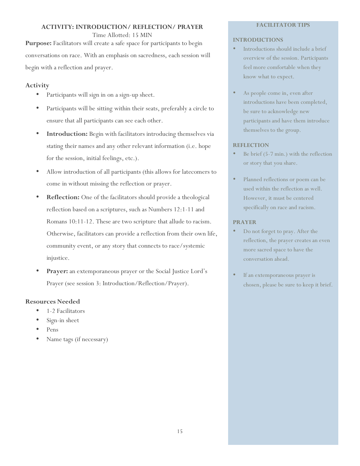#### **ACTIVITY: INTRODUCTION/ REFLECTION/ PRAYER**

Time Allotted: 15 MIN Purpose: Facilitators will create a safe space for participants to begin conversations on race. With an emphasis on sacredness, each session will begin with a reflection and prayer.

## **Activity**

- Participants will sign in on a sign-up sheet.
- Participants will be sitting within their seats, preferably a circle to ensure that all participants can see each other.
- **Introduction:** Begin with facilitators introducing themselves via stating their names and any other relevant information (i.e. hope for the session, initial feelings, etc.).
- Allow introduction of all participants (this allows for latecomers to come in without missing the reflection or prayer.
- **Reflection:** One of the facilitators should provide a theological reflection based on a scriptures, such as Numbers 12:1-11 and Romans 10:11-12. These are two scripture that allude to racism. Otherwise, facilitators can provide a reflection from their own life, community event, or any story that connects to race/systemic injustice.
- **Prayer:** an extemporaneous prayer or the Social Justice Lord's Prayer (see session 3: Introduction/Reflection/Prayer).

## **Resources Needed**

- 1-2 Facilitators
- Sign-in sheet
- Pens
- Name tags (if necessary)

#### **FACILITATOR TIPS**

#### **INTRODUCTIONS**

- Introductions should include a brief overview of the session. Participants feel more comfortable when they know what to expect.
- As people come in, even after introductions have been completed, be sure to acknowledge new participants and have them introduce themselves to the group.

#### **REFLECTION**

- Be brief (5-7 min.) with the reflection or story that you share.
- Planned reflections or poem can be used within the reflection as well. However, it must be centered specifically on race and racism.

#### **PRAYER**

- Do not forget to pray. After the reflection, the prayer creates an even more sacred space to have the conversation ahead.
- If an extemporaneous prayer is chosen, please be sure to keep it brief.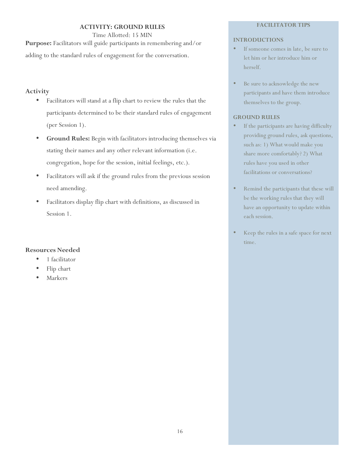## **ACTIVITY: GROUND RULES**

Time Allotted: 15 MIN **Purpose:** Facilitators will guide participants in remembering and/or adding to the standard rules of engagement for the conversation.

## **Activity**

- Facilitators will stand at a flip chart to review the rules that the participants determined to be their standard rules of engagement (per Session 1).
- **Ground Rules:** Begin with facilitators introducing themselves via stating their names and any other relevant information (i.e. congregation, hope for the session, initial feelings, etc.).
- Facilitators will ask if the ground rules from the previous session need amending.
- Facilitators display flip chart with definitions, as discussed in Session 1.

## **Resources Needed**

- 1 facilitator
- Flip chart
- **Markers**

## **FACILITATOR TIPS**

#### **INTRODUCTIONS**

- If someone comes in late, be sure to let him or her introduce him or herself.
- Be sure to acknowledge the new participants and have them introduce themselves to the group.

## **GROUND RULES**

- If the participants are having difficulty providing ground rules, ask questions, such as: 1) What would make you share more comfortably? 2) What rules have you used in other facilitations or conversations?
- Remind the participants that these will be the working rules that they will have an opportunity to update within each session.
- Keep the rules in a safe space for next time.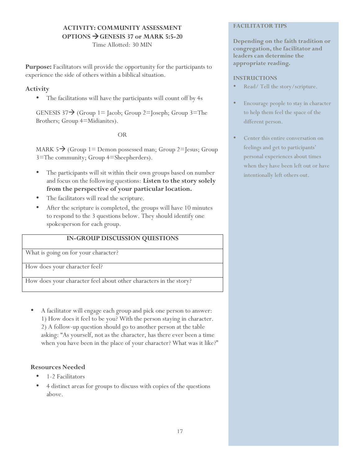## **ACTIVITY: COMMUNITY ASSESSMENT OPTIONS** à**GENESIS 37 or MARK 5:5-20**

Time Allotted: 30 MIN

**Purpose:** Facilitators will provide the opportunity for the participants to experience the side of others within a biblical situation.

## **Activity**

The facilitations will have the participants will count off by 4s

GENESIS  $37\rightarrow$  (Group 1= Jacob; Group 2=Joseph; Group 3=The Brothers; Group 4=Midianites).

OR

MARK  $5\rightarrow$  (Group 1= Demon possessed man; Group 2=Jesus; Group 3=The community; Group 4=Sheepherders).

- The participants will sit within their own groups based on number and focus on the following questions: **Listen to the story solely from the perspective of your particular location.**
- The facilitators will read the scripture.
- After the scripture is completed, the groups will have 10 minutes to respond to the 3 questions below. They should identify one spokesperson for each group.

## **IN-GROUP DISCUSSION QUESTIONS**

What is going on for your character?

How does your character feel?

How does your character feel about other characters in the story?

• A facilitator will engage each group and pick one person to answer: 1) How does it feel to be you? With the person staying in character. 2) A follow-up question should go to another person at the table asking: "As yourself, not as the character, has there ever been a time when you have been in the place of your character? What was it like?"

## **Resources Needed**

- 1-2 Facilitators
- 4 distinct areas for groups to discuss with copies of the questions above.

#### **FACILITATOR TIPS**

**Depending on the faith tradition or congregation, the facilitator and leaders can determine the appropriate reading.**

#### **INSTRUCTIONS**

- Read/Tell the story/scripture.
- Encourage people to stay in character to help them feel the space of the different person.
- Center this entire conversation on feelings and get to participants' personal experiences about times when they have been left out or have intentionally left others out.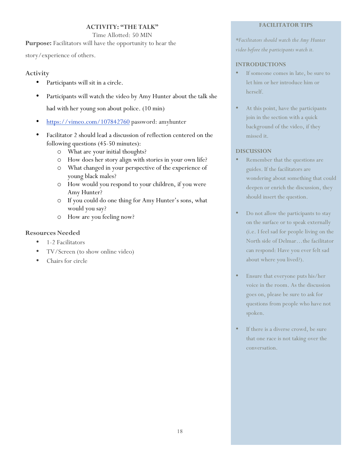## **ACTIVITY: "THE TALK"**

Time Allotted: 50 MIN

Purpose: Facilitators will have the opportunity to hear the

story/experience of others.

## **Activity**

- Participants will sit in a circle.
- Participants will watch the video by Amy Hunter about the talk she had with her young son about police. (10 min)
- https://vimeo.com/107842760 password: amyhunter
- Facilitator 2 should lead a discussion of reflection centered on the following questions (45-50 minutes):
	- o What are your initial thoughts?
	- o How does her story align with stories in your own life?
	- o What changed in your perspective of the experience of young black males?
	- o How would you respond to your children, if you were Amy Hunter?
	- o If you could do one thing for Amy Hunter's sons, what would you say?
	- o How are you feeling now?

## **Resources Needed**

- 1-2 Facilitators
- TV/Screen (to show online video)
- Chairs for circle

## **FACILITATOR TIPS**

*\*Facilitators should watch the Amy Hunter video before the participants watch it.*

## **INTRODUCTIONS**

- If someone comes in late, be sure to let him or her introduce him or herself.
- At this point, have the participants join in the section with a quick background of the video, if they missed it.

## **DISCUSSION**

- Remember that the questions are guides. If the facilitators are wondering about something that could deepen or enrich the discussion, they should insert the question.
- Do not allow the participants to stay on the surface or to speak externally (i.e. I feel sad for people living on the North side of Delmar…the facilitator can respond: Have you ever felt sad about where you lived?).
- Ensure that everyone puts his/her voice in the room. As the discussion goes on, please be sure to ask for questions from people who have not spoken.
- If there is a diverse crowd, be sure that one race is not taking over the conversation.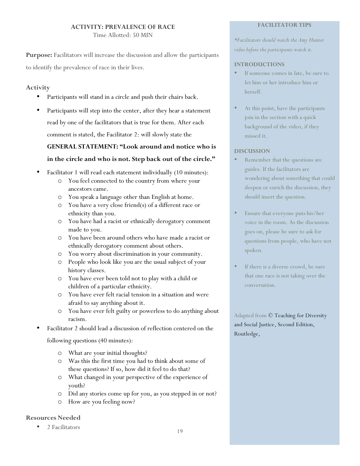## **ACTIVITY: PREVALENCE OF RACE**

Time Allotted: 50 MIN

**Purpose:** Facilitators will increase the discussion and allow the participants to identify the prevalence of race in their lives.

## **Activity**

- Participants will stand in a circle and push their chairs back.
- Participants will step into the center, after they hear a statement read by one of the facilitators that is true for them. After each comment is stated, the Facilitator 2: will slowly state the

## **GENERAL STATEMENT: "Look around and notice who is**

## **in the circle and who is not. Step back out of the circle."**

- Facilitator 1 will read each statement individually (10 minutes):
	- o You feel connected to the country from where your ancestors came.
	- o You speak a language other than English at home.
	- o You have a very close friend(s) of a different race or ethnicity than you.
	- o You have had a racist or ethnically derogatory comment made to you.
	- o You have been around others who have made a racist or ethnically derogatory comment about others.
	- o You worry about discrimination in your community.
	- o People who look like you are the usual subject of your history classes.
	- o You have ever been told not to play with a child or children of a particular ethnicity.
	- o You have ever felt racial tension in a situation and were afraid to say anything about it.
	- o You have ever felt guilty or powerless to do anything about racism.
- Facilitator 2 should lead a discussion of reflection centered on the

following questions (40 minutes):

- o What are your initial thoughts?
- o Was this the first time you had to think about some of these questions? If so, how did it feel to do that?
- o What changed in your perspective of the experience of youth?
- o Did any stories come up for you, as you stepped in or not?
- o How are you feeling now?

## **Resources Needed**

• 2 Facilitators

## **FACILITATOR TIPS**

*\*Facilitators should watch the Amy Hunter video before the participants watch it.*

## **INTRODUCTIONS**

- If someone comes in late, be sure to let him or her introduce him or herself.
- At this point, have the participants join in the section with a quick background of the video, if they missed it.

## **DISCUSSION**

- Remember that the questions are guides. If the facilitators are wondering about something that could deepen or enrich the discussion, they should insert the question.
- Ensure that everyone puts his/her voice in the room. As the discussion goes on, please be sure to ask for questions from people, who have not spoken.
- If there is a diverse crowd, be sure that one race is not taking over the conversation.

Adapted from © Teaching for Diversity and Social Justice, Second Edition, Routledge,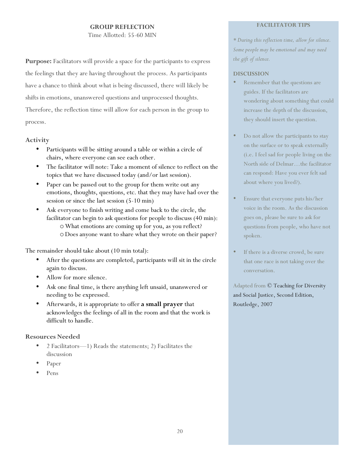## **GROUP REFLECTION**

Time Allotted: 55-60 MIN

Purpose: Facilitators will provide a space for the participants to express the feelings that they are having throughout the process. As participants have a chance to think about what is being discussed, there will likely be shifts in emotions, unanswered questions and unprocessed thoughts. Therefore, the reflection time will allow for each person in the group to process.

## **Activity**

- Participants will be sitting around a table or within a circle of chairs, where everyone can see each other.
- The facilitator will note: Take a moment of silence to reflect on the topics that we have discussed today (and/or last session).
- Paper can be passed out to the group for them write out any emotions, thoughts, questions, etc. that they may have had over the session or since the last session (5-10 min)
- Ask everyone to finish writing and come back to the circle, the facilitator can begin to ask questions for people to discuss (40 min): oWhat emotions are coming up for you, as you reflect? oDoes anyone want to share what they wrote on their paper?

The remainder should take about (10 min total):

- After the questions are completed, participants will sit in the circle again to discuss.
- Allow for more silence.
- Ask one final time, is there anything left unsaid, unanswered or needing to be expressed.
- Afterwards, it is appropriate to offer **a small prayer** that acknowledges the feelings of all in the room and that the work is difficult to handle.

## **Resources Needed**

- 2 Facilitators—1) Reads the statements; 2) Facilitates the discussion
- Paper
- Pens

### **FACILITATOR TIPS**

*\* During this reflection time, allow for silence. Some people may be emotional and may need the gift of silence.*

### **DISCUSSION**

- Remember that the questions are guides. If the facilitators are wondering about something that could increase the depth of the discussion, they should insert the question.
- Do not allow the participants to stay on the surface or to speak externally (i.e. I feel sad for people living on the North side of Delmar…the facilitator can respond: Have you ever felt sad about where you lived?).
- Ensure that everyone puts his/her voice in the room. As the discussion goes on, please be sure to ask for questions from people, who have not spoken.
- If there is a diverse crowd, be sure that one race is not taking over the conversation.

Adapted from © Teaching for Diversity and Social Justice, Second Edition, Routledge, 2007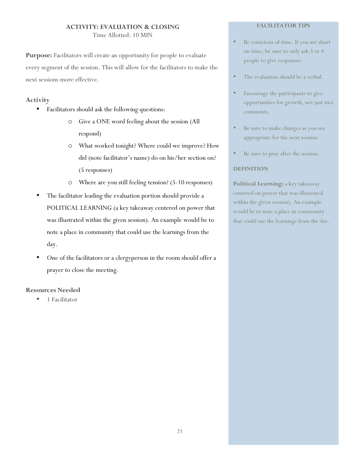## **ACTIVITY: EVALUATION & CLOSING** Time Allotted: 10 MIN

Purpose: Facilitators will create an opportunity for people to evaluate every segment of the session. This will allow for the facilitators to make the next sessions more effective.

## **Activity**

- Facilitators should ask the following questions:
	- o Give a ONE word feeling about the session (All respond)
	- o What worked tonight? Where could we improve? How did (note facilitator's name) do on his/her section on? (5 responses)
	- o Where are you still feeling tension? (5-10 responses)
- The facilitator leading the evaluation portion should provide a POLITICAL LEARNING (a key takeaway centered on power that was illustrated within the given session). An example would be to note a place in community that could use the learnings from the day.
- One of the facilitators or a clergyperson in the room should offer a prayer to close the meeting.

## **Resources Needed**

• 1 Facilitator

## **FACILITATOR TIPS**

- Be conscious of time. If you are short on time, be sure to only ask 3 or 4 people to give responses.
- The evaluation should be a verbal.
- Encourage the participants to give opportunities for growth, not just nice comments.
- Be sure to make changes as you see appropriate for the next session.
- Be sure to pray after the session.

## **DEFINITION**

**Political Learning:** a key takeaway centered on power that was illustrated within the given session). An example would be to note a place in community that could use the learnings from the day.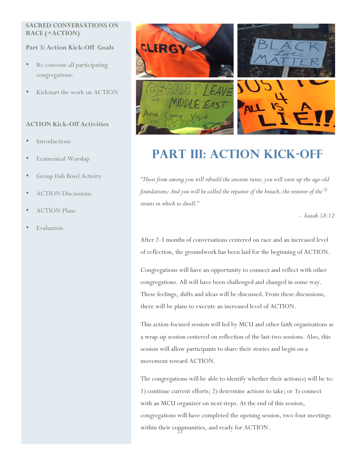## **SACRED CONVERSATIONS ON RACE (+ACTION)**

## **Part 3: Action Kick-Off Goals**

- Re-convene all participating congregations.
- Kickstart the work on ACTION

## **ACTION Kick-Off Activities**

- Introductions
- Ecumenical Worship
- Group Fish Bowl Activity
- ACTION Discussions
- ACTION Plans
- **Evaluation**



## **PART III: action KICK-OFF**

*"Those from among you will rebuild the ancient ruins; you will raise up the age-old foundations; And you will be called the repairer of the breach, the restorer of the [i] streets in which to dwell."*

*- Isaiah 58:12*

After 2-3 months of conversations centered on race and an increased level of reflection, the groundwork has been laid for the beginning of ACTION.

Congregations will have an opportunity to connect and reflect with other congregations. All will have been challenged and changed in some way. These feelings, shifts and ideas will be discussed. From these discussions, there will be plans to execute an increased level of ACTION.

This action-focused session will led by MCU and other faith organizations as a wrap-up session centered on reflection of the last two sessions. Also, this session will allow participants to share their stories and begin on a movement toward ACTION.

within their communities, and ready for ACTION. The congregations will be able to identify whether their action(s) will be to: 1) continue current efforts; 2) determine actions to take; or 3) connect with an MCU organizer on next steps. At the end of this session, congregations will have completed the opening session, two-four meetings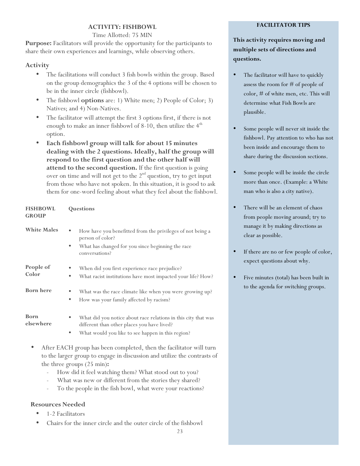### **ACTIVITY: FISHBOWL**

Time Allotted: 75 MIN

**Purpose:** Facilitators will provide the opportunity for the participants to share their own experiences and learnings, while observing others.

## **Activity**

- The facilitations will conduct 3 fish bowls within the group. Based on the group demographics the 3 of the 4 options will be chosen to be in the inner circle (fishbowl).
- The fishbowl **options** are: 1) White men; 2) People of Color; 3) Natives; and 4) Non-Natives.
- The facilitator will attempt the first 3 options first, if there is not enough to make an inner fishbowl of 8-10, then utilize the  $4<sup>th</sup>$ option.
- **Each fishbowl group will talk for about 15 minutes dealing with the 2 questions. Ideally, half the group will respond to the first question and the other half will attend to the second question.** If the first question is going over on time and will not get to the  $2<sup>nd</sup>$  question, try to get input from those who have not spoken. In this situation, it is good to ask them for one-word feeling about what they feel about the fishbowl.

#### **FISHBOWL GROUP Questions**

| <b>White Males</b> | How have you benefitted from the privileges of not being a<br>٠<br>person of color?<br>What has changed for you since beginning the race<br>conversations?              |
|--------------------|-------------------------------------------------------------------------------------------------------------------------------------------------------------------------|
| People of<br>Color | When did you first experience race prejudice?<br>What racist institutions have most impacted your life? How?                                                            |
| <b>Born</b> here   | What was the race climate like when you were growing up?<br>How was your family affected by racism?                                                                     |
| Born<br>elsewhere  | What did you notice about race relations in this city that was<br>٠<br>different than other places you have lived?<br>What would you like to see happen in this region? |

- After EACH group has been completed, then the facilitator will turn to the larger group to engage in discussion and utilize the contrasts of the three groups (25 min)**:**
	- How did it feel watching them? What stood out to you?
	- What was new or different from the stories they shared?
	- To the people in the fish bowl, what were your reactions?

## **Resources Needed**

- 1-2 Facilitators
- Chairs for the inner circle and the outer circle of the fishbowl

#### **FACILITATOR TIPS**

## **This activity requires moving and multiple sets of directions and questions.**

- The facilitator will have to quickly assess the room for # of people of color, # of white men, etc. This will determine what Fish Bowls are plausible.
- Some people will never sit inside the fishbowl. Pay attention to who has not been inside and encourage them to share during the discussion sections.
- Some people will be inside the circle more than once. (Example: a White man who is also a city native).
- There will be an element of chaos from people moving around; try to manage it by making directions as clear as possible.
- If there are no or few people of color, expect questions about why.
- Five minutes (total) has been built in to the agenda for switching groups.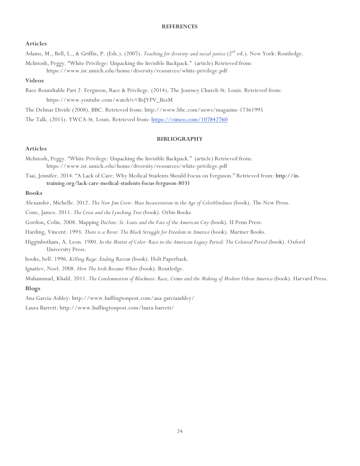#### **REFERENCES**

#### **Articles**

Adams, M., Bell, L., & Griffin, P. (Eds.). (2007). *Teaching for diversity and social justice* (2<sup>nd</sup> ed.). New York: Routledge.

McIntosh, Peggy. "White Privilege: Unpacking the Invisible Backpack." (article) Retrieved from: https://www.isr.umich.edu/home/diversity/resources/white-privilege.pdf

#### **Videos**

Race Roundtable Part 2- Ferguson, Race & Privilege. (2014). The Journey Church-St. Louis. Retrieved from: https://www.youtube.com/watch?v=BsJYPV\_BzzM

The Delmar Divide (2008). BBC. Retrieved from: http://www.bbc.com/news/magazine-17361995

The Talk. (2015). YWCA-St. Louis. Retrieved from: https://vimeo.com/107842760

#### **BIBLIOGRAPHY**

#### **Articles**

McIntosh, Peggy. "White Privilege: Unpacking the Invisible Backpack." (article) Retrieved from: https://www.isr.umich.edu/home/diversity/resources/white-privilege.pdf

Tsai, Jennifer. 2014. "A Lack of Care: Why Medical Students Should Focus on Ferguson." Retrieved from: http://intraining.org/lack-care-medical-students-focus-ferguson-8031

#### **Books**

Alexander, Michelle. 2012. *The New Jim Crow: Mass Incarceration in the Age of Colorblindness* (book). The New Press.

Cone, James. 2011. *The Cross and the Lynching Tree* (book). Orbis Books.

Gordon, Colin. 2008. Mapping *Decline: St. Louis and the Fate of the American City* (book). U Penn Press.

Harding, Vincent. 1993. *There is a River: The Black Struggle for Freedom in America* (book). Mariner Books.

Higginbotham, A. Leon. 1980. In the Matter of Color: Race in the American Legacy Period: The Colonial Period (book). Oxford University Press.

hooks, bell. 1996. *Killing Rage: Ending Racism* (book). Holt Paperback.

Ignatiev, Noel. 2008. *How The Irish Became White* (book). Routledge.

Muhammad, Khalil. 2011. *The Condemnation of Blackness: Race, Crime and the Making of Modern Urban America* (book). Harvard Press.

#### **Blogs**

Ana Garcia-Ashley: http://www.huffingtonpost.com/ana-garciaashley/

Laura Barrett: http://www.huffingtonpost.com/laura-barrett/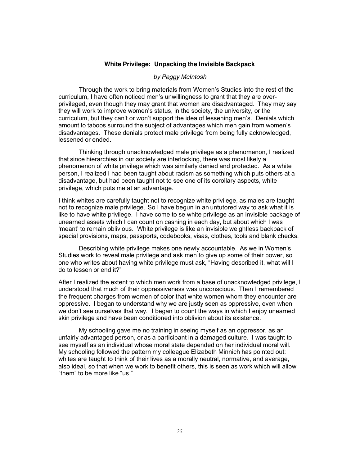#### **White Privilege: Unpacking the Invisible Backpack**

#### *by Peggy McIntosh*

 Through the work to bring materials from Women's Studies into the rest of the curriculum, I have often noticed men's unwillingness to grant that they are overprivileged, even though they may grant that women are disadvantaged. They may say they will work to improve women's status, in the society, the university, or the curriculum, but they can't or won't support the idea of lessening men's. Denials which amount to taboos surround the subject of advantages which men gain from women's disadvantages. These denials protect male privilege from being fully acknowledged, lessened or ended.

 Thinking through unacknowledged male privilege as a phenomenon, I realized that since hierarchies in our society are interlocking, there was most likely a phenomenon of white privilege which was similarly denied and protected. As a white person, I realized I had been taught about racism as something which puts others at a disadvantage, but had been taught not to see one of its corollary aspects, white privilege, which puts me at an advantage.

I think whites are carefully taught not to recognize white privilege, as males are taught not to recognize male privilege. So I have begun in an untutored way to ask what it is like to have white privilege. I have come to se white privilege as an invisible package of unearned assets which I can count on cashing in each day, but about which I was 'meant' to remain oblivious. White privilege is like an invisible weightless backpack of special provisions, maps, passports, codebooks, visas, clothes, tools and blank checks.

 Describing white privilege makes one newly accountable. As we in Women's Studies work to reveal male privilege and ask men to give up some of their power, so one who writes about having white privilege must ask, "Having described it, what will I do to lessen or end it?"

After I realized the extent to which men work from a base of unacknowledged privilege, I understood that much of their oppressiveness was unconscious. Then I remembered the frequent charges from women of color that white women whom they encounter are oppressive. I began to understand why we are justly seen as oppressive, even when we don't see ourselves that way. I began to count the ways in which I enjoy unearned skin privilege and have been conditioned into oblivion about its existence.

 My schooling gave me no training in seeing myself as an oppressor, as an unfairly advantaged person, or as a participant in a damaged culture. I was taught to see myself as an individual whose moral state depended on her individual moral will. My schooling followed the pattern my colleague Elizabeth Minnich has pointed out: whites are taught to think of their lives as a morally neutral, normative, and average, also ideal, so that when we work to benefit others, this is seen as work which will allow "them" to be more like "us."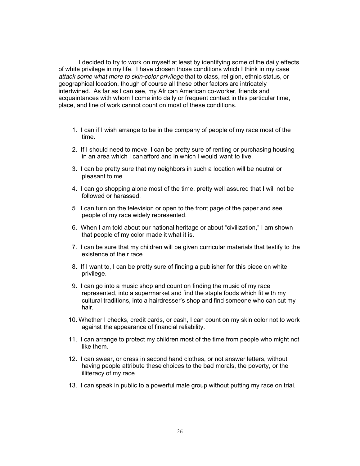I decided to try to work on myself at least by identifying some of the daily effects of white privilege in my life. I have chosen those conditions which I think in my case *attack some what more to skin-color privilege* that to class, religion, ethnic status, or geographical location, though of course all these other factors are intricately intertwined. As far as I can see, my African American co-worker, friends and acquaintances with whom I come into daily or frequent contact in this particular time, place, and line of work cannot count on most of these conditions.

- 1. I can if I wish arrange to be in the company of people of my race most of the time.
- 2. If I should need to move, I can be pretty sure of renting or purchasing housing in an area which I canafford and in which I would want to live.
- 3. I can be pretty sure that my neighbors in such a location will be neutral or pleasant to me.
- 4. I can go shopping alone most of the time, pretty well assured that I will not be followed or harassed.
- 5. I can turn on the television or open to the front page of the paper and see people of my race widely represented.
- 6. When I am told about our national heritage or about "civilization," I am shown that people of my color made it what it is.
- 7. I can be sure that my children will be given curricular materials that testify to the existence of their race.
- 8. If I want to, I can be pretty sure of finding a publisher for this piece on white privilege.
- 9. I can go into a music shop and count on finding the music of my race represented, into a supermarket and find the staple foods which fit with my cultural traditions, into a hairdresser's shop and find someone who can cut my hair.
- 10. Whether I checks, credit cards, or cash, I can count on my skin color not to work against the appearance of financial reliability.
- 11. I can arrange to protect my children most of the time from people who might not like them.
- 12. I can swear, or dress in second hand clothes, or not answer letters, without having people attribute these choices to the bad morals, the poverty, or the illiteracy of my race.
- 13. I can speak in public to a powerful male group without putting my race on trial.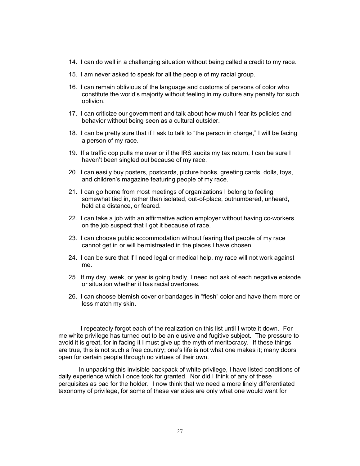- 14. I can do well in a challenging situation without being called a credit to my race.
- 15. I am never asked to speak for all the people of my racial group.
- 16. I can remain oblivious of the language and customs of persons of color who constitute the world's majority without feeling in my culture any penalty for such oblivion.
- 17. I can criticize our government and talk about how much I fear its policies and behavior without being seen as a cultural outsider.
- 18. I can be pretty sure that if I ask to talk to "the person in charge," I will be facing a person of my race.
- 19. If a traffic cop pulls me over or if the IRS audits my tax return, I can be sure I haven't been singled out because of my race.
- 20. I can easily buy posters, postcards, picture books, greeting cards, dolls, toys, and children's magazine featuring people of my race.
- 21. I can go home from most meetings of organizations I belong to feeling somewhat tied in, rather than isolated, out-of-place, outnumbered, unheard, held at a distance, or feared.
- 22. I can take a job with an affirmative action employer without having co-workers on the job suspect that I got it because of race.
- 23. I can choose public accommodation without fearing that people of my race cannot get in or will be mistreated in the places I have chosen.
- 24. I can be sure that if I need legal or medical help, my race will not work against me.
- 25. If my day, week, or year is going badly, I need not ask of each negative episode or situation whether it has racial overtones.
- 26. I can choose blemish cover or bandages in "flesh" color and have them more or less match my skin.

 I repeatedly forgot each of the realization on this list until I wrote it down. For me white privilege has turned out to be an elusive and fugitive subject. The pressure to avoid it is great, for in facing it I must give up the myth of meritocracy. If these things are true, this is not such a free country; one's life is not what one makes it; many doors open for certain people through no virtues of their own.

 In unpacking this invisible backpack of white privilege, I have listed conditions of daily experience which I once took for granted. Nor did I think of any of these perquisites as bad for the holder. I now think that we need a more finely differentiated taxonomy of privilege, for some of these varieties are only what one would want for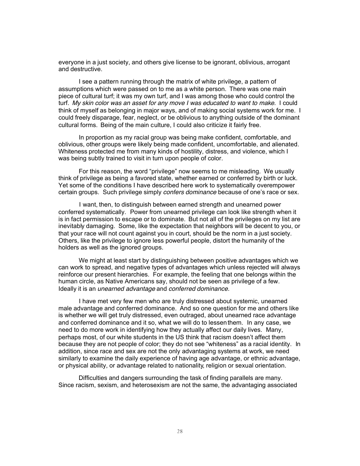everyone in a just society, and others give license to be ignorant, oblivious, arrogant and destructive.

 I see a pattern running through the matrix of white privilege, a pattern of assumptions which were passed on to me as a white person. There was one main piece of cultural turf; it was my own turf, and I was among those who could control the turf. *My skin color was an asset for any move I was educated to want to make.* I could think of myself as belonging in major ways, and of making social systems work for me. I could freely disparage, fear, neglect, or be oblivious to anything outside of the dominant cultural forms. Being of the main culture, I could also criticize it fairly free.

 In proportion as my racial group was being make confident, comfortable, and oblivious, other groups were likely being made confident, uncomfortable, and alienated. Whiteness protected me from many kinds of hostility, distress, and violence, which I was being subtly trained to visit in turn upon people of color.

 For this reason, the word "privilege" now seems to me misleading. We usually think of privilege as being a favored state, whether earned or conferred by birth or luck. Yet some of the conditions I have described here work to systematically overempower certain groups. Such privilege simply *confers dominance* because of one's race or sex.

 I want, then, to distinguish between earned strength and unearned power conferred systematically. Power from unearned privilege can look like strength when it is in fact permission to escape or to dominate. But not all of the privileges on my list are inevitably damaging. Some, like the expectation that neighbors will be decent to you, or that your race will not count against you in court, should be the norm in a just society. Others, like the privilege to ignore less powerful people, distort the humanity of the holders as well as the ignored groups.

 We might at least start by distinguishing between positive advantages which we can work to spread, and negative types of advantages which unless rejected will always reinforce our present hierarchies. For example, the feeling that one belongs within the human circle, as Native Americans say, should not be seen as privilege of a few. Ideally it is an *unearned advantage* and *conferred dominance.*

 I have met very few men who are truly distressed about systemic, unearned male advantage and conferred dominance. And so one question for me and others like is whether we will get truly distressed, even outraged, about unearned race advantage and conferred dominance and it so, what we will do to lessen them. In any case, we need to do more work in identifying how they actually affect our daily lives. Many, perhaps most, of our white students in the US think that racism doesn't affect them because they are not people of color; they do not see "whiteness" as a racial identity. In addition, since race and sex are not the only advantaging systems at work, we need similarly to examine the daily experience of having age advantage, or ethnic advantage, or physical ability, or advantage related to nationality, religion or sexual orientation.

 Difficulties and dangers surrounding the task of finding parallels are many. Since racism, sexism, and heterosexism are not the same, the advantaging associated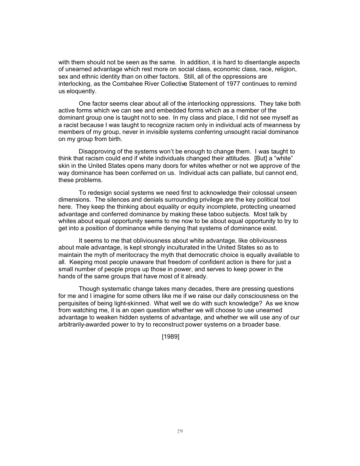with them should not be seen as the same. In addition, it is hard to disentangle aspects of unearned advantage which rest more on social class, economic class, race, religion, sex and ethnic identity than on other factors. Still, all of the oppressions are interlocking, as the Combahee River Collective Statement of 1977 continues to remind us eloquently.

 One factor seems clear about all of the interlocking oppressions. They take both active forms which we can see and embedded forms which as a member of the dominant group one is taught not to see. In my class and place, I did not see myself as a racist because I was taught to recognize racism only in individual acts of meanness by members of my group, never in invisible systems conferring unsought racial dominance on my group from birth.

 Disapproving of the systems won't be enough to change them. I was taught to think that racism could end if white individuals changed their attitudes. [But] a "white" skin in the United States opens many doors for whites whether or not we approve of the way dominance has been conferred on us. Individual acts can palliate, but cannot end, these problems.

 To redesign social systems we need first to acknowledge their colossal unseen dimensions. The silences and denials surrounding privilege are the key political tool here. They keep the thinking about equality or equity incomplete, protecting unearned advantage and conferred dominance by making these taboo subjects. Most talk by whites about equal opportunity seems to me now to be about equal opportunity to try to get into a position of dominance while denying that systems of dominance exist.

 It seems to me that obliviousness about white advantage, like obliviousness about male advantage, is kept strongly inculturated in the United States so as to maintain the myth of meritocracy the myth that democratic choice is equally available to all. Keeping most people unaware that freedom of confident action is there for just a small number of people props up those in power, and serves to keep power in the hands of the same groups that have most of it already.

 Though systematic change takes many decades, there are pressing questions for me and I imagine for some others like me if we raise our daily consciousness on the perquisites of being light-skinned. What well we do with such knowledge? As we know from watching me, it is an open question whether we will choose to use unearned advantage to weaken hidden systems of advantage, and whether we will use any of our arbitrarily-awarded power to try to reconstruct power systems on a broader base.

[1989]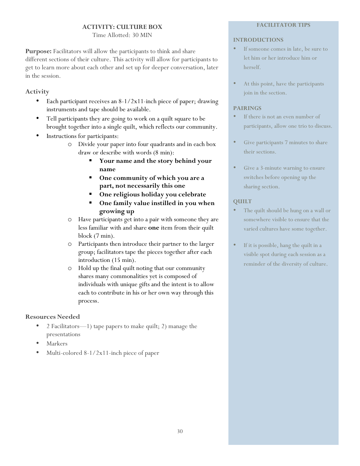## **ACTIVITY: CULTURE BOX**

Time Allotted: 30 MIN

Purpose: Facilitators will allow the participants to think and share different sections of their culture. This activity will allow for participants to get to learn more about each other and set up for deeper conversation, later in the session.

## **Activity**

- Each participant receives an 8-1/2x11-inch piece of paper; drawing instruments and tape should be available.
- Tell participants they are going to work on a quilt square to be brought together into a single quilt, which reflects our community.
- Instructions for participants:
	- o Divide your paper into four quadrants and in each box draw or describe with words (8 min):
		- § **Your name and the story behind your name**
		- One community of which you are a **part, not necessarily this one**
		- § **One religious holiday you celebrate**
		- § **One family value instilled in you when growing up**
	- o Have participants get into a pair with someone they are less familiar with and share **one** item from their quilt block (7 min).
	- o Participants then introduce their partner to the larger group; facilitators tape the pieces together after each introduction (15 min).
	- o Hold up the final quilt noting that our community shares many commonalities yet is composed of individuals with unique gifts and the intent is to allow each to contribute in his or her own way through this process.

## **Resources Needed**

- 2 Facilitators—1) tape papers to make quilt; 2) manage the presentations
- **Markers**
- Multi-colored 8-1/2x11-inch piece of paper

#### **FACILITATOR TIPS**

#### **INTRODUCTIONS**

- If someone comes in late, be sure to let him or her introduce him or herself.
- At this point, have the participants join in the section.

#### **PAIRINGS**

- If there is not an even number of participants, allow one trio to discuss.
- Give participants 7 minutes to share their sections.
- Give a 3-minute warning to ensure switches before opening up the sharing section.

#### **QUILT**

- The quilt should be hung on a wall or somewhere visible to ensure that the varied cultures have some together.
- If it is possible, hang the quilt in a visible spot during each session as a reminder of the diversity of culture.